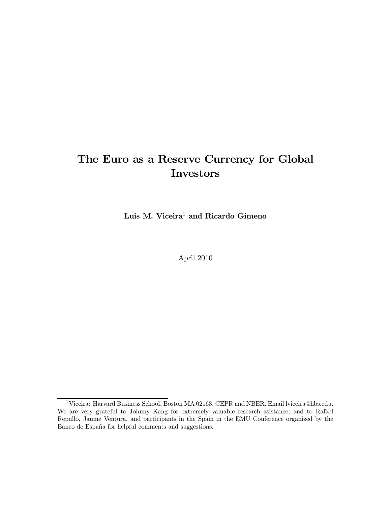# The Euro as a Reserve Currency for Global **Investors**

Luis M. Viceira<sup>1</sup> and Ricardo Gimeno

April 2010

<sup>&</sup>lt;sup>1</sup>Viceira: Harvard Business School, Boston MA 02163, CEPR and NBER. Email lviceira@hbs.edu. We are very grateful to Johnny Kang for extremely valuable research asistance, and to Rafael Repullo, Jaume Ventura, and participants in the Spain in the EMU Conference organized by the Banco de España for helpful comments and suggestions.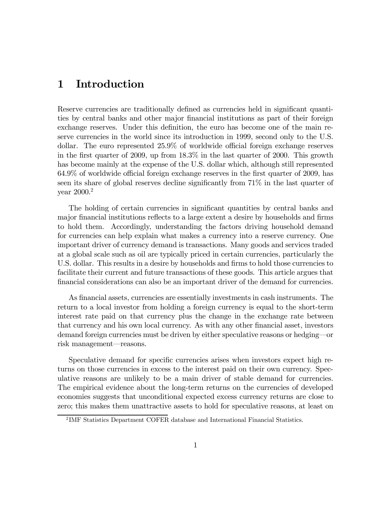### 1 Introduction

Reserve currencies are traditionally defined as currencies held in significant quantities by central banks and other major financial institutions as part of their foreign exchange reserves. Under this definition, the euro has become one of the main reserve currencies in the world since its introduction in 1999, second only to the U.S. dollar. The euro represented 25.9% of worldwide official foreign exchange reserves in the first quarter of 2009, up from 18.3% in the last quarter of 2000. This growth has become mainly at the expense of the U.S. dollar which, although still represented 64.9% of worldwide official foreign exchange reserves in the first quarter of 2009, has seen its share of global reserves decline significantly from 71% in the last quarter of year 2000.<sup>2</sup>

The holding of certain currencies in significant quantities by central banks and major financial institutions reflects to a large extent a desire by households and firms to hold them. Accordingly, understanding the factors driving household demand for currencies can help explain what makes a currency into a reserve currency. One important driver of currency demand is transactions. Many goods and services traded at a global scale such as oil are typically priced in certain currencies, particularly the U.S. dollar. This results in a desire by households and firms to hold those currencies to facilitate their current and future transactions of these goods. This article argues that financial considerations can also be an important driver of the demand for currencies.

As financial assets, currencies are essentially investments in cash instruments. The return to a local investor from holding a foreign currency is equal to the short-term interest rate paid on that currency plus the change in the exchange rate between that currency and his own local currency. As with any other financial asset, investors demand foreign currencies must be driven by either speculative reasons or hedging–or risk management–reasons.

Speculative demand for specific currencies arises when investors expect high returns on those currencies in excess to the interest paid on their own currency. Speculative reasons are unlikely to be a main driver of stable demand for currencies. The empirical evidence about the long-term returns on the currencies of developed economies suggests that unconditional expected excess currency returns are close to zero; this makes them unattractive assets to hold for speculative reasons, at least on

<sup>&</sup>lt;sup>2</sup>IMF Statistics Department COFER database and International Financial Statistics.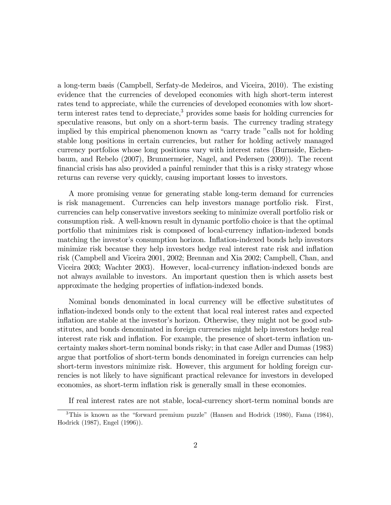a long-term basis (Campbell, Serfaty-de Medeiros, and Viceira, 2010). The existing evidence that the currencies of developed economies with high short-term interest rates tend to appreciate, while the currencies of developed economies with low shortterm interest rates tend to depreciate,<sup>3</sup> provides some basis for holding currencies for speculative reasons, but only on a short-term basis. The currency trading strategy implied by this empirical phenomenon known as "carry trade "calls not for holding stable long positions in certain currencies, but rather for holding actively managed currency portfolios whose long positions vary with interest rates (Burnside, Eichenbaum, and Rebelo (2007), Brunnermeier, Nagel, and Pedersen (2009)). The recent financial crisis has also provided a painful reminder that this is a risky strategy whose returns can reverse very quickly, causing important losses to investors.

A more promising venue for generating stable long-term demand for currencies is risk management. Currencies can help investors manage portfolio risk. First, currencies can help conservative investors seeking to minimize overall portfolio risk or consumption risk. A well-known result in dynamic portfolio choice is that the optimal portfolio that minimizes risk is composed of local-currency inflation-indexed bonds matching the investor's consumption horizon. Inflation-indexed bonds help investors minimize risk because they help investors hedge real interest rate risk and inflation risk (Campbell and Viceira 2001, 2002; Brennan and Xia 2002; Campbell, Chan, and Viceira 2003; Wachter 2003). However, local-currency inflation-indexed bonds are not always available to investors. An important question then is which assets best approximate the hedging properties of inflation-indexed bonds.

Nominal bonds denominated in local currency will be effective substitutes of inflation-indexed bonds only to the extent that local real interest rates and expected inflation are stable at the investor's horizon. Otherwise, they might not be good substitutes, and bonds denominated in foreign currencies might help investors hedge real interest rate risk and inflation. For example, the presence of short-term inflation uncertainty makes short-term nominal bonds risky; in that case Adler and Dumas (1983) argue that portfolios of short-term bonds denominated in foreign currencies can help short-term investors minimize risk. However, this argument for holding foreign currencies is not likely to have significant practical relevance for investors in developed economies, as short-term inflation risk is generally small in these economies.

If real interest rates are not stable, local-currency short-term nominal bonds are

<sup>3</sup>This is known as the "forward premium puzzle" (Hansen and Hodrick (1980), Fama (1984), Hodrick (1987), Engel (1996)).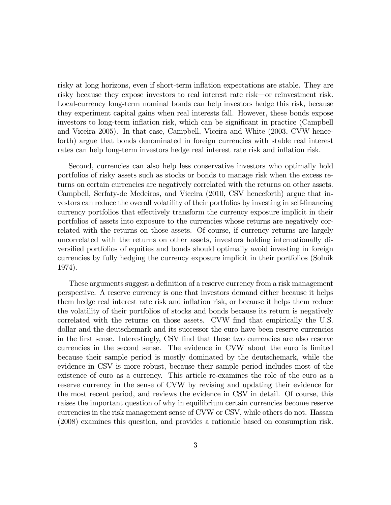risky at long horizons, even if short-term inflation expectations are stable. They are risky because they expose investors to real interest rate risk–or reinvestment risk. Local-currency long-term nominal bonds can help investors hedge this risk, because they experiment capital gains when real interests fall. However, these bonds expose investors to long-term inflation risk, which can be significant in practice (Campbell and Viceira 2005). In that case, Campbell, Viceira and White (2003, CVW henceforth) argue that bonds denominated in foreign currencies with stable real interest rates can help long-term investors hedge real interest rate risk and inflation risk.

Second, currencies can also help less conservative investors who optimally hold portfolios of risky assets such as stocks or bonds to manage risk when the excess returns on certain currencies are negatively correlated with the returns on other assets. Campbell, Serfaty-de Medeiros, and Viceira (2010, CSV henceforth) argue that investors can reduce the overall volatility of their portfolios by investing in self-financing currency portfolios that effectively transform the currency exposure implicit in their portfolios of assets into exposure to the currencies whose returns are negatively correlated with the returns on those assets. Of course, if currency returns are largely uncorrelated with the returns on other assets, investors holding internationally diversified portfolios of equities and bonds should optimally avoid investing in foreign currencies by fully hedging the currency exposure implicit in their portfolios (Solnik 1974).

These arguments suggest a definition of a reserve currency from a risk management perspective. A reserve currency is one that investors demand either because it helps them hedge real interest rate risk and inflation risk, or because it helps them reduce the volatility of their portfolios of stocks and bonds because its return is negatively correlated with the returns on those assets. CVW find that empirically the U.S. dollar and the deutschemark and its successor the euro have been reserve currencies in the first sense. Interestingly, CSV find that these two currencies are also reserve currencies in the second sense. The evidence in CVW about the euro is limited because their sample period is mostly dominated by the deutschemark, while the evidence in CSV is more robust, because their sample period includes most of the existence of euro as a currency. This article re-examines the role of the euro as a reserve currency in the sense of CVW by revising and updating their evidence for the most recent period, and reviews the evidence in CSV in detail. Of course, this raises the important question of why in equilibrium certain currencies become reserve currencies in the risk management sense of CVW or CSV, while others do not. Hassan (2008) examines this question, and provides a rationale based on consumption risk.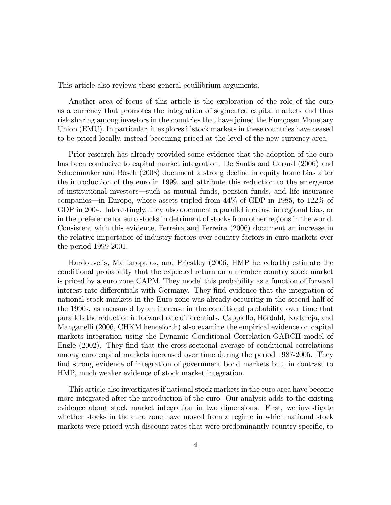This article also reviews these general equilibrium arguments.

Another area of focus of this article is the exploration of the role of the euro as a currency that promotes the integration of segmented capital markets and thus risk sharing among investors in the countries that have joined the European Monetary Union (EMU). In particular, it explores if stock markets in these countries have ceased to be priced locally, instead becoming priced at the level of the new currency area.

Prior research has already provided some evidence that the adoption of the euro has been conducive to capital market integration. De Santis and Gerard (2006) and Schoenmaker and Bosch (2008) document a strong decline in equity home bias after the introduction of the euro in 1999, and attribute this reduction to the emergence of institutional investors–such as mutual funds, pension funds, and life insurance companies–in Europe, whose assets tripled from 44% of GDP in 1985, to 122% of GDP in 2004. Interestingly, they also document a parallel increase in regional bias, or in the preference for euro stocks in detriment of stocks from other regions in the world. Consistent with this evidence, Ferreira and Ferreira (2006) document an increase in the relative importance of industry factors over country factors in euro markets over the period 1999-2001.

Hardouvelis, Malliaropulos, and Priestley (2006, HMP henceforth) estimate the conditional probability that the expected return on a member country stock market is priced by a euro zone CAPM. They model this probability as a function of forward interest rate differentials with Germany. They find evidence that the integration of national stock markets in the Euro zone was already occurring in the second half of the 1990s, as measured by an increase in the conditional probability over time that parallels the reduction in forward rate differentials. Cappiello, Hördahl, Kadareja, and Manganelli (2006, CHKM henceforth) also examine the empirical evidence on capital markets integration using the Dynamic Conditional Correlation-GARCH model of Engle (2002). They find that the cross-sectional average of conditional correlations among euro capital markets increased over time during the period 1987-2005. They find strong evidence of integration of government bond markets but, in contrast to HMP, much weaker evidence of stock market integration.

This article also investigates if national stock markets in the euro area have become more integrated after the introduction of the euro. Our analysis adds to the existing evidence about stock market integration in two dimensions. First, we investigate whether stocks in the euro zone have moved from a regime in which national stock markets were priced with discount rates that were predominantly country specific, to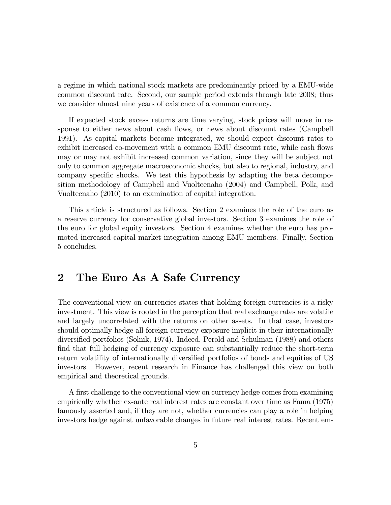a regime in which national stock markets are predominantly priced by a EMU-wide common discount rate. Second, our sample period extends through late 2008; thus we consider almost nine years of existence of a common currency.

If expected stock excess returns are time varying, stock prices will move in response to either news about cash flows, or news about discount rates (Campbell 1991). As capital markets become integrated, we should expect discount rates to exhibit increased co-movement with a common EMU discount rate, while cash flows may or may not exhibit increased common variation, since they will be subject not only to common aggregate macroeconomic shocks, but also to regional, industry, and company specific shocks. We test this hypothesis by adapting the beta decomposition methodology of Campbell and Vuolteenaho (2004) and Campbell, Polk, and Vuolteenaho (2010) to an examination of capital integration.

This article is structured as follows. Section 2 examines the role of the euro as a reserve currency for conservative global investors. Section 3 examines the role of the euro for global equity investors. Section 4 examines whether the euro has promoted increased capital market integration among EMU members. Finally, Section 5 concludes.

## 2 The Euro As A Safe Currency

The conventional view on currencies states that holding foreign currencies is a risky investment. This view is rooted in the perception that real exchange rates are volatile and largely uncorrelated with the returns on other assets. In that case, investors should optimally hedge all foreign currency exposure implicit in their internationally diversified portfolios (Solnik, 1974). Indeed, Perold and Schulman (1988) and others find that full hedging of currency exposure can substantially reduce the short-term return volatility of internationally diversified portfolios of bonds and equities of US investors. However, recent research in Finance has challenged this view on both empirical and theoretical grounds.

A first challenge to the conventional view on currency hedge comes from examining empirically whether ex-ante real interest rates are constant over time as Fama (1975) famously asserted and, if they are not, whether currencies can play a role in helping investors hedge against unfavorable changes in future real interest rates. Recent em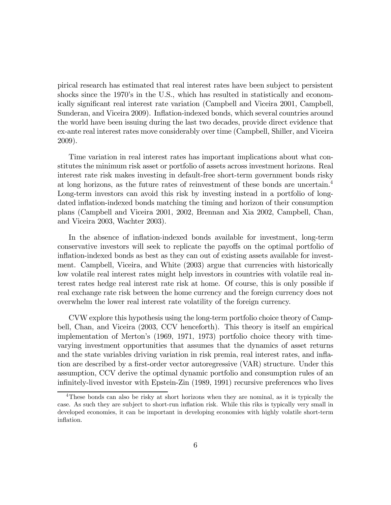pirical research has estimated that real interest rates have been subject to persistent shocks since the 1970's in the U.S., which has resulted in statistically and economically significant real interest rate variation (Campbell and Viceira 2001, Campbell, Sunderan, and Viceira 2009). Inflation-indexed bonds, which several countries around the world have been issuing during the last two decades, provide direct evidence that ex-ante real interest rates move considerably over time (Campbell, Shiller, and Viceira 2009).

Time variation in real interest rates has important implications about what constitutes the minimum risk asset or portfolio of assets across investment horizons. Real interest rate risk makes investing in default-free short-term government bonds risky at long horizons, as the future rates of reinvestment of these bonds are uncertain.<sup>4</sup> Long-term investors can avoid this risk by investing instead in a portfolio of longdated inflation-indexed bonds matching the timing and horizon of their consumption plans (Campbell and Viceira 2001, 2002, Brennan and Xia 2002, Campbell, Chan, and Viceira 2003, Wachter 2003).

In the absence of inflation-indexed bonds available for investment, long-term conservative investors will seek to replicate the payoffs on the optimal portfolio of inflation-indexed bonds as best as they can out of existing assets available for investment. Campbell, Viceira, and White (2003) argue that currencies with historically low volatile real interest rates might help investors in countries with volatile real interest rates hedge real interest rate risk at home. Of course, this is only possible if real exchange rate risk between the home currency and the foreign currency does not overwhelm the lower real interest rate volatility of the foreign currency.

CVW explore this hypothesis using the long-term portfolio choice theory of Campbell, Chan, and Viceira (2003, CCV henceforth). This theory is itself an empirical implementation of Merton's (1969, 1971, 1973) portfolio choice theory with timevarying investment opportunities that assumes that the dynamics of asset returns and the state variables driving variation in risk premia, real interest rates, and inflation are described by a first-order vector autoregressive (VAR) structure. Under this assumption, CCV derive the optimal dynamic portfolio and consumption rules of an infinitely-lived investor with Epstein-Zin (1989, 1991) recursive preferences who lives

<sup>4</sup>These bonds can also be risky at short horizons when they are nominal, as it is typically the case. As such they are subject to short-run inflation risk. While this riks is typically very small in developed economies, it can be important in developing economies with highly volatile short-term inflation.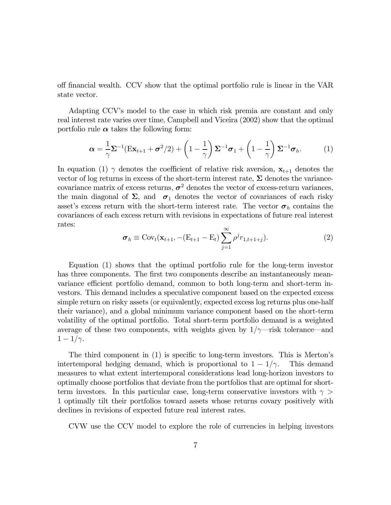off financial wealth. CCV show that the optimal portfolio rule is linear in the VAR state vector.

Adapting CCV's model to the case in which risk premia are constant and only real interest rate varies over time, Campbell and Viceira (2002) show that the optimal portfolio rule  $\alpha$  takes the following form:

$$
\boldsymbol{\alpha} = \frac{1}{\gamma} \boldsymbol{\Sigma}^{-1} (\boldsymbol{E} \mathbf{x}_{t+1} + \boldsymbol{\sigma}^2 / 2) + \left( 1 - \frac{1}{\gamma} \right) \boldsymbol{\Sigma}^{-1} \boldsymbol{\sigma}_1 + \left( 1 - \frac{1}{\gamma} \right) \boldsymbol{\Sigma}^{-1} \boldsymbol{\sigma}_h. \tag{1}
$$

In equation (1)  $\gamma$  denotes the coefficient of relative risk aversion,  $\mathbf{x}_{t+1}$  denotes the vector of log returns in excess of the short-term interest rate,  $\Sigma$  denotes the variancecovariance matrix of excess returns,  $\sigma^2$  denotes the vector of excess-return variances, the main diagonal of  $\Sigma$ , and  $\sigma_1$  denotes the vector of covariances of each risky asset's excess return with the short-term interest rate. The vector  $\sigma_h$  contains the covariances of each excess return with revisions in expectations of future real interest rates:

$$
\boldsymbol{\sigma}_h \equiv \text{Cov}_t(\mathbf{x}_{t+1}, -(\text{E}_{t+1} - \text{E}_t) \sum_{j=1}^{\infty} \rho^j r_{1,t+1+j}). \tag{2}
$$

Equation (1) shows that the optimal portfolio rule for the long-term investor has three components. The first two components describe an instantaneously meanvariance efficient portfolio demand, common to both long-term and short-term investors. This demand includes a speculative component based on the expected excess simple return on risky assets (or equivalently, expected excess log returns plus one-half their variance), and a global minimum variance component based on the short-term volatility of the optimal portfolio. Total short-term portfolio demand is a weighted average of these two components, with weights given by  $1/\gamma$ —risk tolerance—and  $1 - 1/\gamma$ .

The third component in (1) is specific to long-term investors. This is Merton's intertemporal hedging demand, which is proportional to  $1 - 1/\gamma$ . This demand measures to what extent intertemporal considerations lead long-horizon investors to optimally choose portfolios that deviate from the portfolios that are optimal for shortterm investors. In this particular case, long-term conservative investors with  $\gamma$ 1 optimally tilt their portfolios toward assets whose returns covary positively with declines in revisions of expected future real interest rates.

CVW use the CCV model to explore the role of currencies in helping investors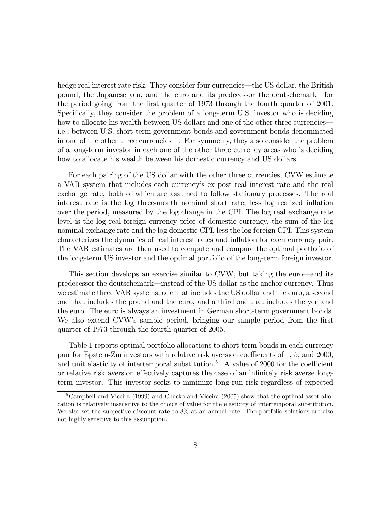hedge real interest rate risk. They consider four currencies—the US dollar, the British pound, the Japanese yen, and the euro and its predecessor the deutschemark–for the period going from the first quarter of 1973 through the fourth quarter of 2001. Specifically, they consider the problem of a long-term U.S. investor who is deciding how to allocate his wealth between US dollars and one of the other three currencies i.e., between U.S. short-term government bonds and government bonds denominated in one of the other three currencies–. For symmetry, they also consider the problem of a long-term investor in each one of the other three currency areas who is deciding how to allocate his wealth between his domestic currency and US dollars.

For each pairing of the US dollar with the other three currencies, CVW estimate a VAR system that includes each currency's ex post real interest rate and the real exchange rate, both of which are assumed to follow stationary processes. The real interest rate is the log three-month nominal short rate, less log realized inflation over the period, measured by the log change in the CPI. The log real exchange rate level is the log real foreign currency price of domestic currency, the sum of the log nominal exchange rate and the log domestic CPI, less the log foreign CPI. This system characterizes the dynamics of real interest rates and inflation for each currency pair. The VAR estimates are then used to compute and compare the optimal portfolio of the long-term US investor and the optimal portfolio of the long-term foreign investor.

This section develops an exercise similar to CVW, but taking the euro–and its predecessor the deutschemark–instead of the US dollar as the anchor currency. Thus we estimate three VAR systems, one that includes the US dollar and the euro, a second one that includes the pound and the euro, and a third one that includes the yen and the euro. The euro is always an investment in German short-term government bonds. We also extend CVW's sample period, bringing our sample period from the first quarter of 1973 through the fourth quarter of 2005.

Table 1 reports optimal portfolio allocations to short-term bonds in each currency pair for Epstein-Zin investors with relative risk aversion coefficients of 1, 5, and 2000, and unit elasticity of intertemporal substitution.<sup>5</sup> A value of 2000 for the coefficient or relative risk aversion effectively captures the case of an infinitely risk averse longterm investor. This investor seeks to minimize long-run risk regardless of expected

<sup>&</sup>lt;sup>5</sup>Campbell and Viceira (1999) and Chacko and Viceira (2005) show that the optimal asset allocation is relatively insensitive to the choice of value for the elasticity of intertemporal substitution. We also set the subjective discount rate to 8% at an annual rate. The portfolio solutions are also not highly sensitive to this assumption.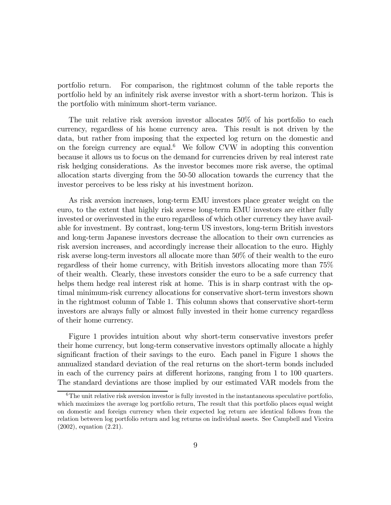portfolio return. For comparison, the rightmost column of the table reports the portfolio held by an infinitely risk averse investor with a short-term horizon. This is the portfolio with minimum short-term variance.

The unit relative risk aversion investor allocates 50% of his portfolio to each currency, regardless of his home currency area. This result is not driven by the data, but rather from imposing that the expected log return on the domestic and on the foreign currency are equal.<sup>6</sup> We follow CVW in adopting this convention because it allows us to focus on the demand for currencies driven by real interest rate risk hedging considerations. As the investor becomes more risk averse, the optimal allocation starts diverging from the 50-50 allocation towards the currency that the investor perceives to be less risky at his investment horizon.

As risk aversion increases, long-term EMU investors place greater weight on the euro, to the extent that highly risk averse long-term EMU investors are either fully invested or overinvested in the euro regardless of which other currency they have available for investment. By contrast, long-term US investors, long-term British investors and long-term Japanese investors decrease the allocation to their own currencies as risk aversion increases, and accordingly increase their allocation to the euro. Highly risk averse long-term investors all allocate more than 50% of their wealth to the euro regardless of their home currency, with British investors allocating more than 75% of their wealth. Clearly, these investors consider the euro to be a safe currency that helps them hedge real interest risk at home. This is in sharp contrast with the optimal minimum-risk currency allocations for conservative short-term investors shown in the rightmost column of Table 1. This column shows that conservative short-term investors are always fully or almost fully invested in their home currency regardless of their home currency.

Figure 1 provides intuition about why short-term conservative investors prefer their home currency, but long-term conservative investors optimally allocate a highly significant fraction of their savings to the euro. Each panel in Figure 1 shows the annualized standard deviation of the real returns on the short-term bonds included in each of the currency pairs at different horizons, ranging from 1 to 100 quarters. The standard deviations are those implied by our estimated VAR models from the

<sup>&</sup>lt;sup>6</sup>The unit relative risk aversion investor is fully invested in the instantaneous speculative portfolio, which maximizes the average log portfolio return, The result that this portfolio places equal weight on domestic and foreign currency when their expected log return are identical follows from the relation between log portfolio return and log returns on individual assets. See Campbell and Viceira (2002), equation (2.21).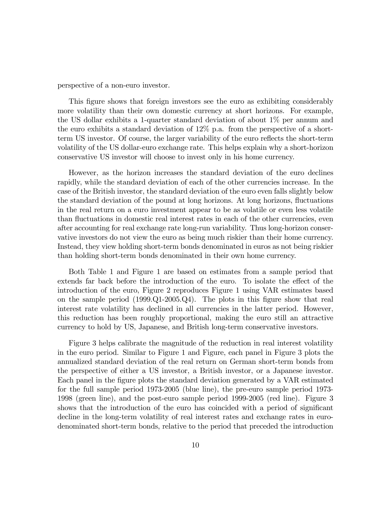perspective of a non-euro investor.

This figure shows that foreign investors see the euro as exhibiting considerably more volatility than their own domestic currency at short horizons. For example, the US dollar exhibits a 1-quarter standard deviation of about 1% per annum and the euro exhibits a standard deviation of 12% p.a. from the perspective of a shortterm US investor. Of course, the larger variability of the euro reflects the short-term volatility of the US dollar-euro exchange rate. This helps explain why a short-horizon conservative US investor will choose to invest only in his home currency.

However, as the horizon increases the standard deviation of the euro declines rapidly, while the standard deviation of each of the other currencies increase. In the case of the British investor, the standard deviation of the euro even falls slightly below the standard deviation of the pound at long horizons. At long horizons, fluctuations in the real return on a euro investment appear to be as volatile or even less volatile than fluctuations in domestic real interest rates in each of the other currencies, even after accounting for real exchange rate long-run variability. Thus long-horizon conservative investors do not view the euro as being much riskier than their home currency. Instead, they view holding short-term bonds denominated in euros as not being riskier than holding short-term bonds denominated in their own home currency.

Both Table 1 and Figure 1 are based on estimates from a sample period that extends far back before the introduction of the euro. To isolate the effect of the introduction of the euro, Figure 2 reproduces Figure 1 using VAR estimates based on the sample period (1999.Q1-2005.Q4). The plots in this figure show that real interest rate volatility has declined in all currencies in the latter period. However, this reduction has been roughly proportional, making the euro still an attractive currency to hold by US, Japanese, and British long-term conservative investors.

Figure 3 helps calibrate the magnitude of the reduction in real interest volatility in the euro period. Similar to Figure 1 and Figure, each panel in Figure 3 plots the annualized standard deviation of the real return on German short-term bonds from the perspective of either a US investor, a British investor, or a Japanese investor. Each panel in the figure plots the standard deviation generated by a VAR estimated for the full sample period 1973-2005 (blue line), the pre-euro sample period 1973- 1998 (green line), and the post-euro sample period 1999-2005 (red line). Figure 3 shows that the introduction of the euro has coincided with a period of significant decline in the long-term volatility of real interest rates and exchange rates in eurodenominated short-term bonds, relative to the period that preceded the introduction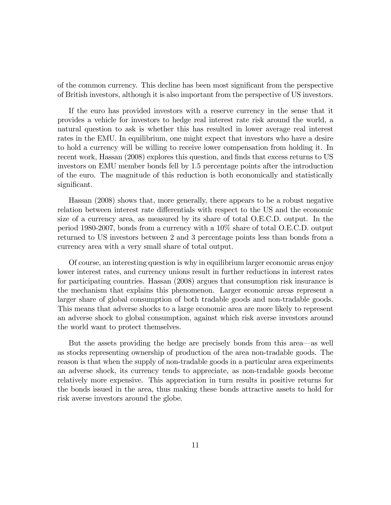of the common currency. This decline has been most significant from the perspective of British investors, although it is also important from the perspective of US investors.

If the euro has provided investors with a reserve currency in the sense that it provides a vehicle for investors to hedge real interest rate risk around the world, a natural question to ask is whether this has resulted in lower average real interest rates in the EMU. In equilibrium, one might expect that investors who have a desire to hold a currency will be willing to receive lower compensation from holding it. In recent work, Hassan (2008) explores this question, and finds that excess returns to US investors on EMU member bonds fell by 1.5 percentage points after the introduction of the euro. The magnitude of this reduction is both economically and statistically significant.

Hassan (2008) shows that, more generally, there appears to be a robust negative relation between interest rate differentials with respect to the US and the economic size of a currency area, as measured by its share of total O.E.C.D. output. In the period 1980-2007, bonds from a currency with a 10% share of total O.E.C.D. output returned to US investors between 2 and 3 percentage points less than bonds from a currency area with a very small share of total output.

Of course, an interesting question is why in equilibrium larger economic areas enjoy lower interest rates, and currency unions result in further reductions in interest rates for participating countries. Hassan (2008) argues that consumption risk insurance is the mechanism that explains this phenomenon. Larger economic areas represent a larger share of global consumption of both tradable goods and non-tradable goods. This means that adverse shocks to a large economic area are more likely to represent an adverse shock to global consumption, against which risk averse investors around the world want to protect themselves.

But the assets providing the hedge are precisely bonds from this area–as well as stocks representing ownership of production of the area non-tradable goods. The reason is that when the supply of non-tradable goods in a particular area experiments an adverse shock, its currency tends to appreciate, as non-tradable goods become relatively more expensive. This appreciation in turn results in positive returns for the bonds issued in the area, thus making these bonds attractive assets to hold for risk averse investors around the globe.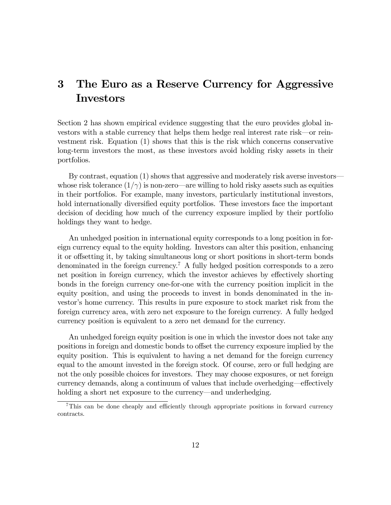## 3 The Euro as a Reserve Currency for Aggressive Investors

Section 2 has shown empirical evidence suggesting that the euro provides global investors with a stable currency that helps them hedge real interest rate risk–or reinvestment risk. Equation (1) shows that this is the risk which concerns conservative long-term investors the most, as these investors avoid holding risky assets in their portfolios.

By contrast, equation (1) shows that aggressive and moderately risk averse investors– whose risk tolerance  $(1/\gamma)$  is non-zero—are willing to hold risky assets such as equities in their portfolios. For example, many investors, particularly institutional investors, hold internationally diversified equity portfolios. These investors face the important decision of deciding how much of the currency exposure implied by their portfolio holdings they want to hedge.

An unhedged position in international equity corresponds to a long position in foreign currency equal to the equity holding. Investors can alter this position, enhancing it or offsetting it, by taking simultaneous long or short positions in short-term bonds denominated in the foreign currency.<sup>7</sup> A fully hedged position corresponds to a zero net position in foreign currency, which the investor achieves by effectively shorting bonds in the foreign currency one-for-one with the currency position implicit in the equity position, and using the proceeds to invest in bonds denominated in the investor's home currency. This results in pure exposure to stock market risk from the foreign currency area, with zero net exposure to the foreign currency. A fully hedged currency position is equivalent to a zero net demand for the currency.

An unhedged foreign equity position is one in which the investor does not take any positions in foreign and domestic bonds to offset the currency exposure implied by the equity position. This is equivalent to having a net demand for the foreign currency equal to the amount invested in the foreign stock. Of course, zero or full hedging are not the only possible choices for investors. They may choose exposures, or net foreign currency demands, along a continuum of values that include overhedging–effectively holding a short net exposure to the currency—and underhedging.

<sup>7</sup>This can be done cheaply and efficiently through appropriate positions in forward currency contracts.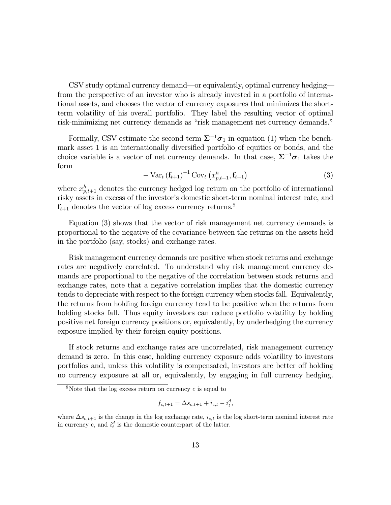CSV study optimal currency demand–or equivalently, optimal currency hedging– from the perspective of an investor who is already invested in a portfolio of international assets, and chooses the vector of currency exposures that minimizes the shortterm volatility of his overall portfolio. They label the resulting vector of optimal risk-minimizing net currency demands as "risk management net currency demands."

Formally, CSV estimate the second term  $\Sigma^{-1} \sigma_1$  in equation (1) when the benchmark asset 1 is an internationally diversified portfolio of equities or bonds, and the choice variable is a vector of net currency demands. In that case,  $\Sigma^{-1} \sigma_1$  takes the form

$$
-\operatorname{Var}_{t}\left(\mathbf{f}_{t+1}\right)^{-1}\operatorname{Cov}_{t}\left(x_{p,t+1}^{h},\mathbf{f}_{t+1}\right)
$$
\n(3)

where  $x_{p,t+1}^h$  denotes the currency hedged log return on the portfolio of international risky assets in excess of the investor's domestic short-term nominal interest rate, and  $\mathbf{f}_{t+1}$  denotes the vector of log excess currency returns.<sup>8</sup>

Equation (3) shows that the vector of risk management net currency demands is proportional to the negative of the covariance between the returns on the assets held in the portfolio (say, stocks) and exchange rates.

Risk management currency demands are positive when stock returns and exchange rates are negatively correlated. To understand why risk management currency demands are proportional to the negative of the correlation between stock returns and exchange rates, note that a negative correlation implies that the domestic currency tends to depreciate with respect to the foreign currency when stocks fall. Equivalently, the returns from holding foreign currency tend to be positive when the returns from holding stocks fall. Thus equity investors can reduce portfolio volatility by holding positive net foreign currency positions or, equivalently, by underhedging the currency exposure implied by their foreign equity positions.

If stock returns and exchange rates are uncorrelated, risk management currency demand is zero. In this case, holding currency exposure adds volatility to investors portfolios and, unless this volatility is compensated, investors are better off holding no currency exposure at all or, equivalently, by engaging in full currency hedging.

$$
f_{c,t+1} = \Delta s_{c,t+1} + i_{c,t} - i_t^d,
$$

<sup>&</sup>lt;sup>8</sup>Note that the log excess return on currency  $c$  is equal to

where  $\Delta s_{c,t+1}$  is the change in the log exchange rate,  $i_{c,t}$  is the log short-term nominal interest rate in currency c, and  $i_t^d$  is the domestic counterpart of the latter.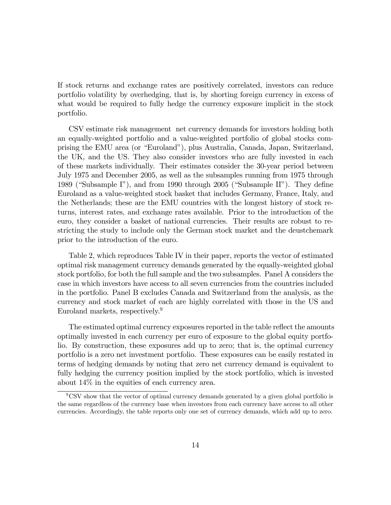If stock returns and exchange rates are positively correlated, investors can reduce portfolio volatility by overhedging, that is, by shorting foreign currency in excess of what would be required to fully hedge the currency exposure implicit in the stock portfolio.

CSV estimate risk management net currency demands for investors holding both an equally-weighted portfolio and a value-weighted portfolio of global stocks comprising the EMU area (or "Euroland"), plus Australia, Canada, Japan, Switzerland, the UK, and the US. They also consider investors who are fully invested in each of these markets individually. Their estimates consider the 30-year period between July 1975 and December 2005, as well as the subsamples running from 1975 through 1989 ("Subsample I"), and from 1990 through 2005 ("Subsample II"). They define Euroland as a value-weighted stock basket that includes Germany, France, Italy, and the Netherlands; these are the EMU countries with the longest history of stock returns, interest rates, and exchange rates available. Prior to the introduction of the euro, they consider a basket of national currencies. Their results are robust to restricting the study to include only the German stock market and the deustchemark prior to the introduction of the euro.

Table 2, which reproduces Table IV in their paper, reports the vector of estimated optimal risk management currency demands generated by the equally-weighted global stock portfolio, for both the full sample and the two subsamples. Panel A considers the case in which investors have access to all seven currencies from the countries included in the portfolio. Panel B excludes Canada and Switzerland from the analysis, as the currency and stock market of each are highly correlated with those in the US and Euroland markets, respectively.9

The estimated optimal currency exposures reported in the table reflect the amounts optimally invested in each currency per euro of exposure to the global equity portfolio. By construction, these exposures add up to zero; that is, the optimal currency portfolio is a zero net investment portfolio. These exposures can be easily restated in terms of hedging demands by noting that zero net currency demand is equivalent to fully hedging the currency position implied by the stock portfolio, which is invested about 14% in the equities of each currency area.

 $9^9$ CSV show that the vector of optimal currency demands generated by a given global portfolio is the same regardless of the currency base when investors from each currency have access to all other currencies. Accordingly, the table reports only one set of currency demands, which add up to zero.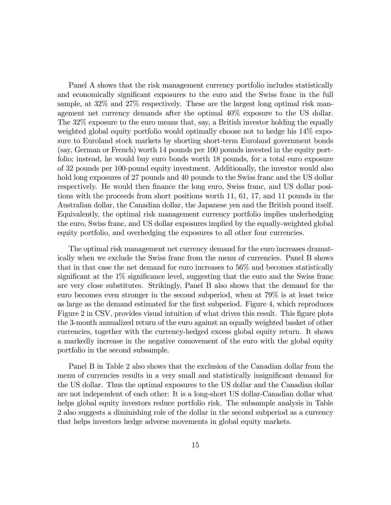Panel A shows that the risk management currency portfolio includes statistically and economically significant exposures to the euro and the Swiss franc in the full sample, at 32\% and 27\% respectively. These are the largest long optimal risk management net currency demands after the optimal 40% exposure to the US dollar. The 32% exposure to the euro means that, say, a British investor holding the equally weighted global equity portfolio would optimally choose not to hedge his 14% exposure to Euroland stock markets by shorting short-term Euroland government bonds (say, German or French) worth 14 pounds per 100 pounds invested in the equity portfolio; instead, he would buy euro bonds worth 18 pounds, for a total euro exposure of 32 pounds per 100-pound equity investment. Additionally, the investor would also hold long exposures of 27 pounds and 40 pounds to the Swiss franc and the US dollar respectively. He would then finance the long euro, Swiss franc, and US dollar positions with the proceeds from short positions worth 11, 61, 17, and 11 pounds in the Australian dollar, the Canadian dollar, the Japanese yen and the British pound itself. Equivalently, the optimal risk management currency portfolio implies underhedging the euro, Swiss franc, and US dollar exposures implied by the equally-weighted global equity portfolio, and overhedging the exposures to all other four currencies.

The optimal risk management net currency demand for the euro increases dramatically when we exclude the Swiss franc from the menu of currencies. Panel B shows that in that case the net demand for euro increases to 56% and becomes statistically significant at the 1% significance level, suggesting that the euro and the Swiss franc are very close substitutes. Strikingly, Panel B also shows that the demand for the euro becomes even stronger in the second subperiod, when at 79% is at least twice as large as the demand estimated for the first subperiod. Figure 4, which reproduces Figure 2 in CSV, provides visual intuition of what drives this result. This figure plots the 3-month annualized return of the euro against an equally weighted basket of other currencies, together with the currency-hedged excess global equity return. It shows a markedly increase in the negative comovement of the euro with the global equity portfolio in the second subsample.

Panel B in Table 2 also shows that the exclusion of the Canadian dollar from the menu of currencies results in a very small and statistically insignificant demand for the US dollar. Thus the optimal exposures to the US dollar and the Canadian dollar are not independent of each other: It is a long-short US dollar-Canadian dollar what helps global equity investors reduce portfolio risk. The subsample analysis in Table 2 also suggests a diminishing role of the dollar in the second subperiod as a currency that helps investors hedge adverse movements in global equity markets.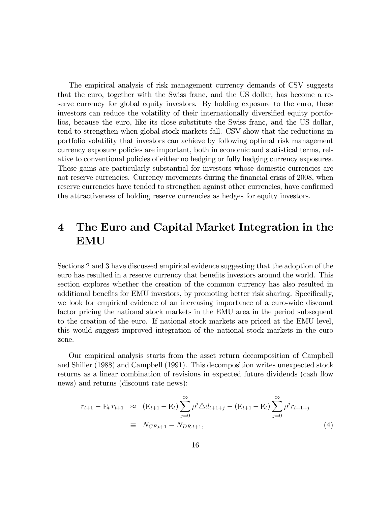The empirical analysis of risk management currency demands of CSV suggests that the euro, together with the Swiss franc, and the US dollar, has become a reserve currency for global equity investors. By holding exposure to the euro, these investors can reduce the volatility of their internationally diversified equity portfolios, because the euro, like its close substitute the Swiss franc, and the US dollar, tend to strengthen when global stock markets fall. CSV show that the reductions in portfolio volatility that investors can achieve by following optimal risk management currency exposure policies are important, both in economic and statistical terms, relative to conventional policies of either no hedging or fully hedging currency exposures. These gains are particularly substantial for investors whose domestic currencies are not reserve currencies. Currency movements during the financial crisis of 2008, when reserve currencies have tended to strengthen against other currencies, have confirmed the attractiveness of holding reserve currencies as hedges for equity investors.

## 4 The Euro and Capital Market Integration in the EMU

Sections 2 and 3 have discussed empirical evidence suggesting that the adoption of the euro has resulted in a reserve currency that benefits investors around the world. This section explores whether the creation of the common currency has also resulted in additional benefits for EMU investors, by promoting better risk sharing. Specifically, we look for empirical evidence of an increasing importance of a euro-wide discount factor pricing the national stock markets in the EMU area in the period subsequent to the creation of the euro. If national stock markets are priced at the EMU level, this would suggest improved integration of the national stock markets in the euro zone.

Our empirical analysis starts from the asset return decomposition of Campbell and Shiller (1988) and Campbell (1991). This decomposition writes unexpected stock returns as a linear combination of revisions in expected future dividends (cash flow news) and returns (discount rate news):

$$
r_{t+1} - \mathbf{E}_t r_{t+1} \approx (\mathbf{E}_{t+1} - \mathbf{E}_t) \sum_{j=0}^{\infty} \rho^j \Delta d_{t+1+j} - (\mathbf{E}_{t+1} - \mathbf{E}_t) \sum_{j=0}^{\infty} \rho^j r_{t+1+j}
$$
  

$$
\equiv N_{CF, t+1} - N_{DR, t+1}, \tag{4}
$$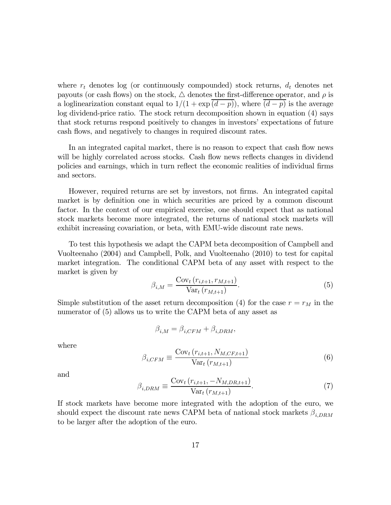where  $r_t$  denotes log (or continuously compounded) stock returns,  $d_t$  denotes net payouts (or cash flows) on the stock,  $\triangle$  denotes the first-difference operator, and  $\rho$  is a loglinearization constant equal to  $1/(1 + \exp((d - p))$ , where  $(d - p)$  is the average log dividend-price ratio. The stock return decomposition shown in equation (4) says that stock returns respond positively to changes in investors' expectations of future cash flows, and negatively to changes in required discount rates.

In an integrated capital market, there is no reason to expect that cash flow news will be highly correlated across stocks. Cash flow news reflects changes in dividend policies and earnings, which in turn reflect the economic realities of individual firms and sectors.

However, required returns are set by investors, not firms. An integrated capital market is by definition one in which securities are priced by a common discount factor. In the context of our empirical exercise, one should expect that as national stock markets become more integrated, the returns of national stock markets will exhibit increasing covariation, or beta, with EMU-wide discount rate news.

To test this hypothesis we adapt the CAPM beta decomposition of Campbell and Vuolteenaho (2004) and Campbell, Polk, and Vuolteenaho (2010) to test for capital market integration. The conditional CAPM beta of any asset with respect to the market is given by

$$
\beta_{i,M} = \frac{\text{Cov}_t(r_{i,t+1}, r_{M,t+1})}{\text{Var}_t(r_{M,t+1})}.
$$
\n(5)

Simple substitution of the asset return decomposition (4) for the case  $r = r_M$  in the numerator of (5) allows us to write the CAPM beta of any asset as

$$
\beta_{i,M} = \beta_{i,CFM} + \beta_{i,DRM},
$$

where

$$
\beta_{i,CFM} \equiv \frac{\text{Cov}_t\left(r_{i,t+1}, N_{M,CF,t+1}\right)}{\text{Var}_t\left(r_{M,t+1}\right)}\tag{6}
$$

and

$$
\beta_{i,DRM} \equiv \frac{\text{Cov}_t (r_{i,t+1}, -N_{M,DR,t+1})}{\text{Var}_t (r_{M,t+1})}.
$$
(7)

If stock markets have become more integrated with the adoption of the euro, we should expect the discount rate news CAPM beta of national stock markets  $\beta_{i,DRM}$ to be larger after the adoption of the euro.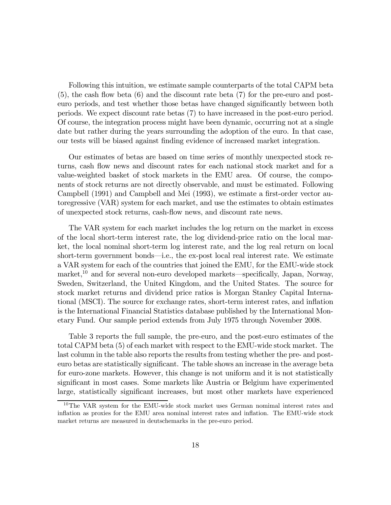Following this intuition, we estimate sample counterparts of the total CAPM beta  $(5)$ , the cash flow beta  $(6)$  and the discount rate beta  $(7)$  for the pre-euro and posteuro periods, and test whether those betas have changed significantly between both periods. We expect discount rate betas (7) to have increased in the post-euro period. Of course, the integration process might have been dynamic, occurring not at a single date but rather during the years surrounding the adoption of the euro. In that case, our tests will be biased against finding evidence of increased market integration.

Our estimates of betas are based on time series of monthly unexpected stock returns, cash flow news and discount rates for each national stock market and for a value-weighted basket of stock markets in the EMU area. Of course, the components of stock returns are not directly observable, and must be estimated. Following Campbell (1991) and Campbell and Mei (1993), we estimate a first-order vector autoregressive (VAR) system for each market, and use the estimates to obtain estimates of unexpected stock returns, cash-flow news, and discount rate news.

The VAR system for each market includes the log return on the market in excess of the local short-term interest rate, the log dividend-price ratio on the local market, the local nominal short-term log interest rate, and the log real return on local short-term government bonds–i.e., the ex-post local real interest rate. We estimate a VAR system for each of the countries that joined the EMU, for the EMU-wide stock market,<sup>10</sup> and for several non-euro developed markets—specifically, Japan, Norway, Sweden, Switzerland, the United Kingdom, and the United States. The source for stock market returns and dividend price ratios is Morgan Stanley Capital International (MSCI). The source for exchange rates, short-term interest rates, and inflation is the International Financial Statistics database published by the International Monetary Fund. Our sample period extends from July 1975 through November 2008.

Table 3 reports the full sample, the pre-euro, and the post-euro estimates of the total CAPM beta (5) of each market with respect to the EMU-wide stock market. The last column in the table also reports the results from testing whether the pre- and posteuro betas are statistically significant. The table shows an increase in the average beta for euro-zone markets. However, this change is not uniform and it is not statistically significant in most cases. Some markets like Austria or Belgium have experimented large, statistically significant increases, but most other markets have experienced

<sup>&</sup>lt;sup>10</sup>The VAR system for the EMU-wide stock market uses German nomimal interest rates and inflation as proxies for the EMU area nominal interest rates and inflation. The EMU-wide stock market returns are measured in deutschemarks in the pre-euro period.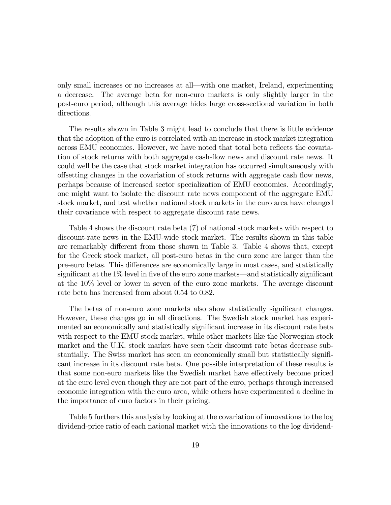only small increases or no increases at all–with one market, Ireland, experimenting a decrease. The average beta for non-euro markets is only slightly larger in the post-euro period, although this average hides large cross-sectional variation in both directions.

The results shown in Table 3 might lead to conclude that there is little evidence that the adoption of the euro is correlated with an increase in stock market integration across EMU economies. However, we have noted that total beta reflects the covariation of stock returns with both aggregate cash-flow news and discount rate news. It could well be the case that stock market integration has occurred simultaneously with offsetting changes in the covariation of stock returns with aggregate cash flow news, perhaps because of increased sector specialization of EMU economies. Accordingly, one might want to isolate the discount rate news component of the aggregate EMU stock market, and test whether national stock markets in the euro area have changed their covariance with respect to aggregate discount rate news.

Table 4 shows the discount rate beta (7) of national stock markets with respect to discount-rate news in the EMU-wide stock market. The results shown in this table are remarkably different from those shown in Table 3. Table 4 shows that, except for the Greek stock market, all post-euro betas in the euro zone are larger than the pre-euro betas. This differences are economically large in most cases, and statistically significant at the 1% level in five of the euro zone markets–and statistically significant at the 10% level or lower in seven of the euro zone markets. The average discount rate beta has increased from about 0.54 to 0.82.

The betas of non-euro zone markets also show statistically significant changes. However, these changes go in all directions. The Swedish stock market has experimented an economically and statistically significant increase in its discount rate beta with respect to the EMU stock market, while other markets like the Norwegian stock market and the U.K. stock market have seen their discount rate betas decrease substantially. The Swiss market has seen an economically small but statistically significant increase in its discount rate beta. One possible interpretation of these results is that some non-euro markets like the Swedish market have effectively become priced at the euro level even though they are not part of the euro, perhaps through increased economic integration with the euro area, while others have experimented a decline in the importance of euro factors in their pricing.

Table 5 furthers this analysis by looking at the covariation of innovations to the log dividend-price ratio of each national market with the innovations to the log dividend-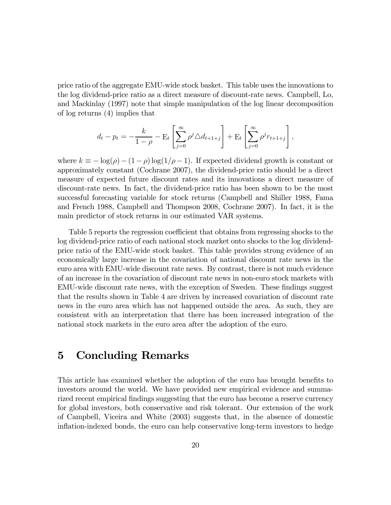price ratio of the aggregate EMU-wide stock basket. This table uses the innovations to the log dividend-price ratio as a direct measure of discount-rate news. Campbell, Lo, and Mackinlay (1997) note that simple manipulation of the log linear decomposition of log returns (4) implies that

$$
d_t - p_t = -\frac{k}{1 - \rho} - \mathbf{E}_t \left[ \sum_{j=0}^{\infty} \rho^j \Delta d_{t+1+j} \right] + \mathbf{E}_t \left[ \sum_{j=0}^{\infty} \rho^j r_{t+1+j} \right],
$$

where  $k \equiv -\log(\rho) - (1 - \rho) \log(1/\rho - 1)$ . If expected dividend growth is constant or approximately constant (Cochrane 2007), the dividend-price ratio should be a direct measure of expected future discount rates and its innovations a direct measure of discount-rate news. In fact, the dividend-price ratio has been shown to be the most successful forecasting variable for stock returns (Campbell and Shiller 1988, Fama and French 1988, Campbell and Thompson 2008, Cochrane 2007). In fact, it is the main predictor of stock returns in our estimated VAR systems.

Table 5 reports the regression coefficient that obtains from regressing shocks to the log dividend-price ratio of each national stock market onto shocks to the log dividendprice ratio of the EMU-wide stock basket. This table provides strong evidence of an economically large increase in the covariation of national discount rate news in the euro area with EMU-wide discount rate news. By contrast, there is not much evidence of an increase in the covariation of discount rate news in non-euro stock markets with EMU-wide discount rate news, with the exception of Sweden. These findings suggest that the results shown in Table 4 are driven by increased covariation of discount rate news in the euro area which has not happened outside the area. As such, they are consistent with an interpretation that there has been increased integration of the national stock markets in the euro area after the adoption of the euro.

## 5 Concluding Remarks

This article has examined whether the adoption of the euro has brought benefits to investors around the world. We have provided new empirical evidence and summarized recent empirical findings suggesting that the euro has become a reserve currency for global investors, both conservative and risk tolerant. Our extension of the work of Campbell, Viceira and White (2003) suggests that, in the absence of domestic inflation-indexed bonds, the euro can help conservative long-term investors to hedge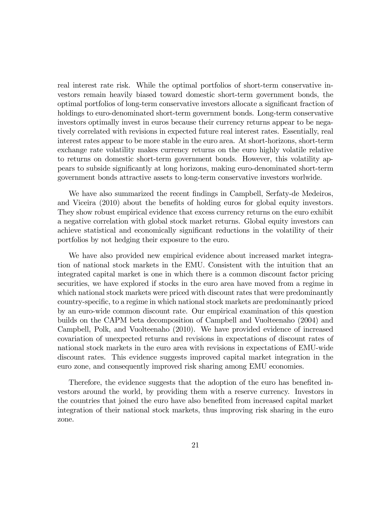real interest rate risk. While the optimal portfolios of short-term conservative investors remain heavily biased toward domestic short-term government bonds, the optimal portfolios of long-term conservative investors allocate a significant fraction of holdings to euro-denominated short-term government bonds. Long-term conservative investors optimally invest in euros because their currency returns appear to be negatively correlated with revisions in expected future real interest rates. Essentially, real interest rates appear to be more stable in the euro area. At short-horizons, short-term exchange rate volatility makes currency returns on the euro highly volatile relative to returns on domestic short-term government bonds. However, this volatility appears to subside significantly at long horizons, making euro-denominated short-term government bonds attractive assets to long-term conservative investors worlwide.

We have also summarized the recent findings in Campbell, Serfaty-de Medeiros, and Viceira (2010) about the benefits of holding euros for global equity investors. They show robust empirical evidence that excess currency returns on the euro exhibit a negative correlation with global stock market returns. Global equity investors can achieve statistical and economically significant reductions in the volatility of their portfolios by not hedging their exposure to the euro.

We have also provided new empirical evidence about increased market integration of national stock markets in the EMU. Consistent with the intuition that an integrated capital market is one in which there is a common discount factor pricing securities, we have explored if stocks in the euro area have moved from a regime in which national stock markets were priced with discount rates that were predominantly country-specific, to a regime in which national stock markets are predominantly priced by an euro-wide common discount rate. Our empirical examination of this question builds on the CAPM beta decomposition of Campbell and Vuolteenaho (2004) and Campbell, Polk, and Vuolteenaho (2010). We have provided evidence of increased covariation of unexpected returns and revisions in expectations of discount rates of national stock markets in the euro area with revisions in expectations of EMU-wide discount rates. This evidence suggests improved capital market integration in the euro zone, and consequently improved risk sharing among EMU economies.

Therefore, the evidence suggests that the adoption of the euro has benefited investors around the world, by providing them with a reserve currency. Investors in the countries that joined the euro have also benefited from increased capital market integration of their national stock markets, thus improving risk sharing in the euro zone.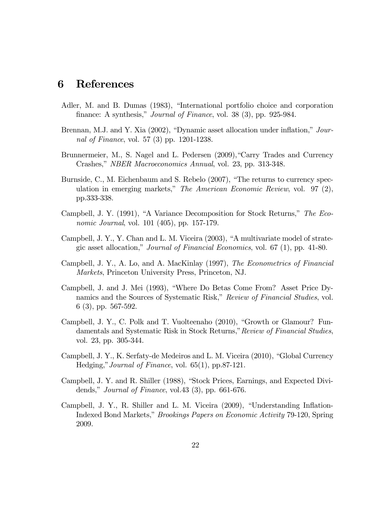### 6 References

- Adler, M. and B. Dumas (1983), "International portfolio choice and corporation finance: A synthesis," *Journal of Finance*, vol. 38 (3), pp. 925-984.
- Brennan, M.J. and Y. Xia (2002), "Dynamic asset allocation under inflation," Journal of Finance, vol. 57 (3) pp. 1201-1238.
- Brunnermeier, M., S. Nagel and L. Pedersen (2009),"Carry Trades and Currency Crashes," NBER Macroeconomics Annual, vol. 23, pp. 313-348.
- Burnside, C., M. Eichenbaum and S. Rebelo (2007), "The returns to currency speculation in emerging markets," The American Economic Review, vol. 97 (2), pp.333-338.
- Campbell, J. Y. (1991), "A Variance Decomposition for Stock Returns," The Economic Journal, vol. 101 (405), pp. 157-179.
- Campbell, J. Y., Y. Chan and L. M. Viceira (2003), "A multivariate model of strategic asset allocation," Journal of Financial Economics, vol. 67 (1), pp. 41-80.
- Campbell, J. Y., A. Lo, and A. MacKinlay (1997), The Econometrics of Financial Markets, Princeton University Press, Princeton, NJ.
- Campbell, J. and J. Mei (1993), "Where Do Betas Come From? Asset Price Dynamics and the Sources of Systematic Risk," Review of Financial Studies, vol. 6 (3), pp. 567-592.
- Campbell, J. Y., C. Polk and T. Vuolteenaho (2010), "Growth or Glamour? Fundamentals and Systematic Risk in Stock Returns,"Review of Financial Studies, vol. 23, pp. 305-344.
- Campbell, J. Y., K. Serfaty-de Medeiros and L. M. Viceira (2010), "Global Currency Hedging,"Journal of Finance, vol. 65(1), pp.87-121.
- Campbell, J. Y. and R. Shiller (1988), "Stock Prices, Earnings, and Expected Dividends," Journal of Finance, vol.43 (3), pp. 661-676.
- Campbell, J. Y., R. Shiller and L. M. Viceira (2009), "Understanding Inflation-Indexed Bond Markets," Brookings Papers on Economic Activity 79-120, Spring 2009.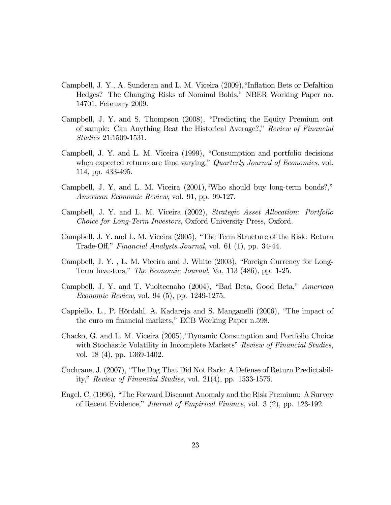- Campbell, J. Y., A. Sunderan and L. M. Viceira (2009),"Inflation Bets or Defaltion Hedges? The Changing Risks of Nominal Bolds," NBER Working Paper no. 14701, February 2009.
- Campbell, J. Y. and S. Thompson (2008), "Predicting the Equity Premium out of sample: Can Anything Beat the Historical Average?," Review of Financial Studies 21:1509-1531.
- Campbell, J. Y. and L. M. Viceira (1999), "Consumption and portfolio decisions when expected returns are time varying," Quarterly Journal of Economics, vol. 114, pp. 433-495.
- Campbell, J. Y. and L. M. Viceira (2001),"Who should buy long-term bonds?," American Economic Review, vol. 91, pp. 99-127.
- Campbell, J. Y. and L. M. Viceira (2002), Strategic Asset Allocation: Portfolio Choice for Long-Term Investors, Oxford University Press, Oxford.
- Campbell, J. Y. and L. M. Viceira (2005), "The Term Structure of the Risk: Return Trade-Off," Financial Analysts Journal, vol. 61 (1), pp. 34-44.
- Campbell, J. Y. , L. M. Viceira and J. White (2003), "Foreign Currency for Long-Term Investors," The Economic Journal, Vo. 113 (486), pp. 1-25.
- Campbell, J. Y. and T. Vuolteenaho (2004), "Bad Beta, Good Beta," American Economic Review, vol. 94 (5), pp. 1249-1275.
- Cappiello, L., P. Hördahl, A. Kadareja and S. Manganelli (2006), "The impact of the euro on financial markets," ECB Working Paper n.598.
- Chacko, G. and L. M. Viceira (2005),"Dynamic Consumption and Portfolio Choice with Stochastic Volatility in Incomplete Markets" Review of Financial Studies, vol. 18 (4), pp. 1369-1402.
- Cochrane, J. (2007), "The Dog That Did Not Bark: A Defense of Return Predictability," Review of Financial Studies, vol. 21(4), pp. 1533-1575.
- Engel, C. (1996), "The Forward Discount Anomaly and the Risk Premium: A Survey of Recent Evidence," Journal of Empirical Finance, vol. 3 (2), pp. 123-192.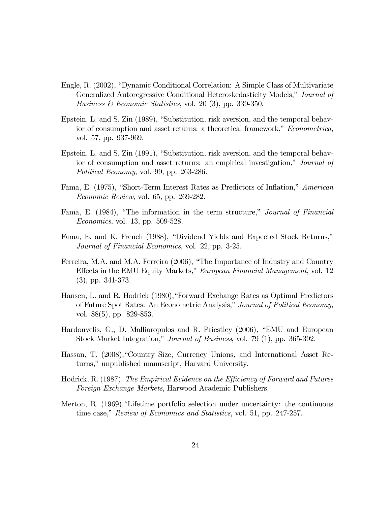- Engle, R. (2002), "Dynamic Conditional Correlation: A Simple Class of Multivariate Generalized Autoregressive Conditional Heteroskedasticity Models," Journal of *Business & Economic Statistics*, vol. 20 (3), pp. 339-350.
- Epstein, L. and S. Zin (1989), "Substitution, risk aversion, and the temporal behavior of consumption and asset returns: a theoretical framework," Econometrica, vol. 57, pp. 937-969.
- Epstein, L. and S. Zin (1991), "Substitution, risk aversion, and the temporal behavior of consumption and asset returns: an empirical investigation," Journal of Political Economy, vol. 99, pp. 263-286.
- Fama, E. (1975), "Short-Term Interest Rates as Predictors of Inflation," American Economic Review, vol. 65, pp. 269-282.
- Fama, E. (1984), "The information in the term structure," *Journal of Financial* Economics, vol. 13, pp. 509-528.
- Fama, E. and K. French (1988), "Dividend Yields and Expected Stock Returns," Journal of Financial Economics, vol. 22, pp. 3-25.
- Ferreira, M.A. and M.A. Ferreira (2006), "The Importance of Industry and Country Effects in the EMU Equity Markets," European Financial Management, vol. 12 (3), pp. 341-373.
- Hansen, L. and R. Hodrick (1980),"Forward Exchange Rates as Optimal Predictors of Future Spot Rates: An Econometric Analysis," Journal of Political Economy, vol. 88(5), pp. 829-853.
- Hardouvelis, G., D. Malliaropulos and R. Priestley (2006), "EMU and European Stock Market Integration," Journal of Business, vol. 79 (1), pp. 365-392.
- Hassan, T. (2008),"Country Size, Currency Unions, and International Asset Returns," unpublished manuscript, Harvard University.
- Hodrick, R. (1987), The Empirical Evidence on the Efficiency of Forward and Futures Foreign Exchange Markets, Harwood Academic Publishers.
- Merton, R. (1969),"Lifetime portfolio selection under uncertainty: the continuous time case," Review of Economics and Statistics, vol. 51, pp. 247-257.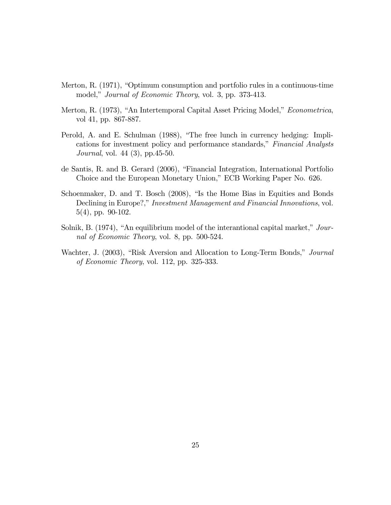- Merton, R. (1971), "Optimum consumption and portfolio rules in a continuous-time model," Journal of Economic Theory, vol. 3, pp. 373-413.
- Merton, R. (1973), "An Intertemporal Capital Asset Pricing Model," Econometrica, vol 41, pp. 867-887.
- Perold, A. and E. Schulman (1988), "The free lunch in currency hedging: Implications for investment policy and performance standards," Financial Analysts Journal, vol. 44 (3), pp.45-50.
- de Santis, R. and B. Gerard (2006), "Financial Integration, International Portfolio Choice and the European Monetary Union," ECB Working Paper No. 626.
- Schoenmaker, D. and T. Bosch (2008), "Is the Home Bias in Equities and Bonds Declining in Europe?," Investment Management and Financial Innovations, vol. 5(4), pp. 90-102.
- Solnik, B. (1974), "An equilibrium model of the interantional capital market," Journal of Economic Theory, vol. 8, pp. 500-524.
- Wachter, J. (2003), "Risk Aversion and Allocation to Long-Term Bonds," Journal of Economic Theory, vol. 112, pp. 325-333.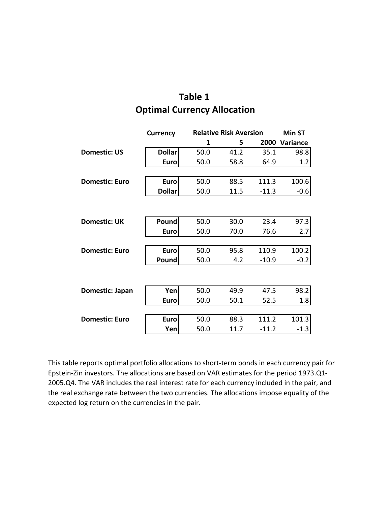## **Optimal Currency Allocation Table 1**

|                       | <b>Currency</b> |      | <b>Relative Risk Aversion</b> |         |          |
|-----------------------|-----------------|------|-------------------------------|---------|----------|
|                       |                 | 1    | 5                             | 2000    | Variance |
| <b>Domestic: US</b>   | <b>Dollar</b>   | 50.0 | 41.2                          | 35.1    | 98.8     |
|                       | <b>Euro</b>     | 50.0 | 58.8                          | 64.9    | 1.2      |
|                       |                 |      |                               |         |          |
| <b>Domestic: Euro</b> | <b>Euro</b>     | 50.0 | 88.5                          | 111.3   | 100.6    |
|                       | <b>Dollar</b>   | 50.0 | 11.5                          | $-11.3$ | $-0.6$   |
|                       |                 |      |                               |         |          |
|                       |                 |      |                               |         |          |
| <b>Domestic: UK</b>   | Pound           | 50.0 | 30.0                          | 23.4    | 97.3     |
|                       | <b>Euro</b>     | 50.0 | 70.0                          | 76.6    | 2.7      |
|                       |                 |      |                               |         |          |
| <b>Domestic: Euro</b> | <b>Euro</b>     | 50.0 | 95.8                          | 110.9   | 100.2    |
|                       | Pound           | 50.0 | 4.2                           | $-10.9$ | $-0.2$   |
|                       |                 |      |                               |         |          |
|                       |                 |      |                               |         |          |
| Domestic: Japan       | Yen             | 50.0 | 49.9                          | 47.5    | 98.2     |
|                       | <b>Euro</b>     | 50.0 | 50.1                          | 52.5    | 1.8      |
|                       |                 |      |                               |         |          |
| <b>Domestic: Euro</b> | <b>Euro</b>     | 50.0 | 88.3                          | 111.2   | 101.3    |
|                       | Yen             | 50.0 | 11.7                          | $-11.2$ | $-1.3$   |

This table reports optimal portfolio allocations to short‐term bonds in each currency pair for Epstein‐Zin investors. The allocations are based on VAR estimates for the period 1973.Q1‐ 2005.Q4. The VAR includes the real interest rate for each currency included in the pair, and the real exchange rate between the two currencies. The allocations impose equality of the expected log return on the currencies in the pair.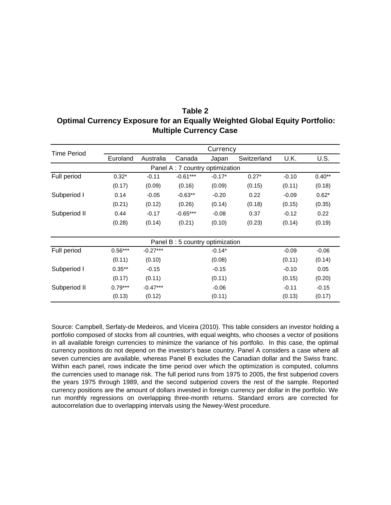| Table 2                                                                           |  |  |  |  |  |
|-----------------------------------------------------------------------------------|--|--|--|--|--|
| <b>Optimal Currency Exposure for an Equally Weighted Global Equity Portfolio:</b> |  |  |  |  |  |
| <b>Multiple Currency Case</b>                                                     |  |  |  |  |  |

| <b>Time Period</b> |                                 |            |                                  | Currency |             |         |          |  |
|--------------------|---------------------------------|------------|----------------------------------|----------|-------------|---------|----------|--|
|                    | Euroland                        | Australia  | Canada                           | Japan    | Switzerland | U.K.    | U.S.     |  |
|                    | Panel A: 7 country optimization |            |                                  |          |             |         |          |  |
| Full period        | $0.32*$                         | $-0.11$    | $-0.61***$                       | $-0.17*$ | $0.27*$     | $-0.10$ | $0.40**$ |  |
|                    | (0.17)                          | (0.09)     | (0.16)                           | (0.09)   | (0.15)      | (0.11)  | (0.18)   |  |
| Subperiod I        | 0.14                            | $-0.05$    | $-0.63**$                        | $-0.20$  | 0.22        | $-0.09$ | $0.62*$  |  |
|                    | (0.21)                          | (0.12)     | (0.26)                           | (0.14)   | (0.18)      | (0.15)  | (0.35)   |  |
| Subperiod II       | 0.44                            | $-0.17$    | $-0.65***$                       | $-0.08$  | 0.37        | $-0.12$ | 0.22     |  |
|                    | (0.28)                          | (0.14)     | (0.21)                           | (0.10)   | (0.23)      | (0.14)  | (0.19)   |  |
|                    |                                 |            |                                  |          |             |         |          |  |
|                    |                                 |            | Panel B : 5 country optimization |          |             |         |          |  |
| Full period        | $0.56***$                       | $-0.27***$ |                                  | $-0.14*$ |             | $-0.09$ | $-0.06$  |  |
|                    | (0.11)                          | (0.10)     |                                  | (0.08)   |             | (0.11)  | (0.14)   |  |
| Subperiod I        | $0.35**$                        | $-0.15$    |                                  | $-0.15$  |             | $-0.10$ | 0.05     |  |
|                    | (0.17)                          | (0.11)     |                                  | (0.11)   |             | (0.15)  | (0.20)   |  |
| Subperiod II       | $0.79***$                       | $-0.47***$ |                                  | $-0.06$  |             | $-0.11$ | $-0.15$  |  |
|                    | (0.13)                          | (0.12)     |                                  | (0.11)   |             | (0.13)  | (0.17)   |  |

Source: Campbell, Serfaty-de Medeiros, and Viceira (2010). This table considers an investor holding a portfolio composed of stocks from all countries, with equal weights, who chooses a vector of positions in all available foreign currencies to minimize the variance of his portfolio. In this case, the optimal currency positions do not depend on the investor's base country. Panel A considers a case where all seven currencies are available, whereas Panel B excludes the Canadian dollar and the Swiss franc. Within each panel, rows indicate the time period over which the optimization is computed, columns the currencies used to manage risk. The full period runs from 1975 to 2005, the first subperiod covers the years 1975 through 1989, and the second subperiod covers the rest of the sample. Reported currency positions are the amount of dollars invested in foreign currency per dollar in the portfolio. We run monthly regressions on overlapping three-month returns. Standard errors are corrected for autocorrelation due to overlapping intervals using the Newey-West procedure.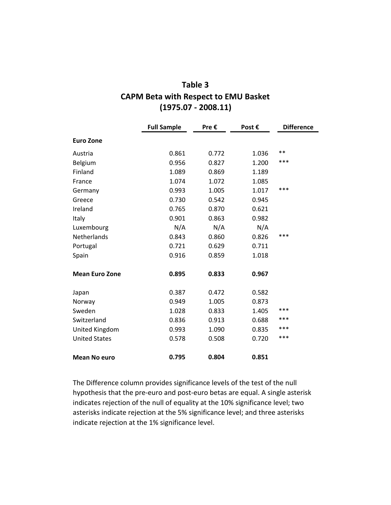| Table 3                                     |
|---------------------------------------------|
| <b>CAPM Beta with Respect to EMU Basket</b> |
| $(1975.07 - 2008.11)$                       |

|                       | <b>Full Sample</b> | Pre € | Post € | <b>Difference</b> |
|-----------------------|--------------------|-------|--------|-------------------|
| <b>Euro Zone</b>      |                    |       |        |                   |
| Austria               | 0.861              | 0.772 | 1.036  | **                |
| Belgium               | 0.956              | 0.827 | 1.200  | ***               |
| Finland               | 1.089              | 0.869 | 1.189  |                   |
| France                | 1.074              | 1.072 | 1.085  |                   |
| Germany               | 0.993              | 1.005 | 1.017  | ***               |
| Greece                | 0.730              | 0.542 | 0.945  |                   |
| Ireland               | 0.765              | 0.870 | 0.621  |                   |
| Italy                 | 0.901              | 0.863 | 0.982  |                   |
| Luxembourg            | N/A                | N/A   | N/A    |                   |
| Netherlands           | 0.843              | 0.860 | 0.826  | ***               |
| Portugal              | 0.721              | 0.629 | 0.711  |                   |
| Spain                 | 0.916              | 0.859 | 1.018  |                   |
| <b>Mean Euro Zone</b> | 0.895              | 0.833 | 0.967  |                   |
| Japan                 | 0.387              | 0.472 | 0.582  |                   |
| Norway                | 0.949              | 1.005 | 0.873  |                   |
| Sweden                | 1.028              | 0.833 | 1.405  | ***               |
| Switzerland           | 0.836              | 0.913 | 0.688  | ***               |
| United Kingdom        | 0.993              | 1.090 | 0.835  | ***               |
| <b>United States</b>  | 0.578              | 0.508 | 0.720  | ***               |
| <b>Mean No euro</b>   | 0.795              | 0.804 | 0.851  |                   |

The Difference column provides significance levels of the test of the null hypothesis that the pre‐euro and post‐euro betas are equal. A single asterisk indicates rejection of the null of equality at the 10% significance level; two asterisks indicate rejection at the 5% significance level; and three asterisks indicate rejection at the 1% significance level.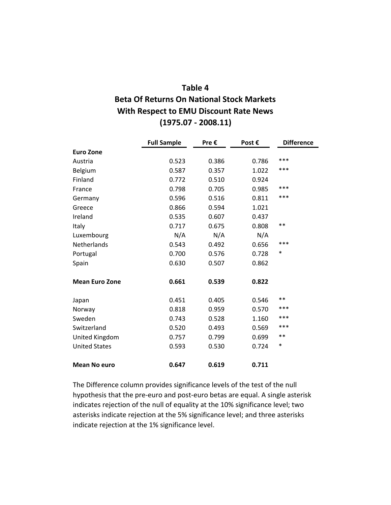### **Table 4**

## **Beta Of Returns On National Stock Markets With Respect to EMU Discount Rate News (1975.07 ‐ 2008.11)**

|                       | <b>Full Sample</b> | Pre € | Post € | <b>Difference</b> |
|-----------------------|--------------------|-------|--------|-------------------|
| <b>Euro Zone</b>      |                    |       |        |                   |
| Austria               | 0.523              | 0.386 | 0.786  | ***               |
| Belgium               | 0.587              | 0.357 | 1.022  | ***               |
| Finland               | 0.772              | 0.510 | 0.924  |                   |
| France                | 0.798              | 0.705 | 0.985  | ***               |
| Germany               | 0.596              | 0.516 | 0.811  | ***               |
| Greece                | 0.866              | 0.594 | 1.021  |                   |
| Ireland               | 0.535              | 0.607 | 0.437  |                   |
| Italy                 | 0.717              | 0.675 | 0.808  | **                |
| Luxembourg            | N/A                | N/A   | N/A    |                   |
| <b>Netherlands</b>    | 0.543              | 0.492 | 0.656  | ***               |
| Portugal              | 0.700              | 0.576 | 0.728  | $\ast$            |
| Spain                 | 0.630              | 0.507 | 0.862  |                   |
| <b>Mean Euro Zone</b> | 0.661              | 0.539 | 0.822  |                   |
| Japan                 | 0.451              | 0.405 | 0.546  | **                |
| Norway                | 0.818              | 0.959 | 0.570  | ***               |
| Sweden                | 0.743              | 0.528 | 1.160  | ***               |
| Switzerland           | 0.520              | 0.493 | 0.569  | ***               |
| United Kingdom        | 0.757              | 0.799 | 0.699  | $***$             |
| <b>United States</b>  | 0.593              | 0.530 | 0.724  | $\ast$            |
| <b>Mean No euro</b>   | 0.647              | 0.619 | 0.711  |                   |

The Difference column provides significance levels of the test of the null hypothesis that the pre‐euro and post‐euro betas are equal. A single asterisk indicates rejection of the null of equality at the 10% significance level; two asterisks indicate rejection at the 5% significance level; and three asterisks indicate rejection at the 1% significance level.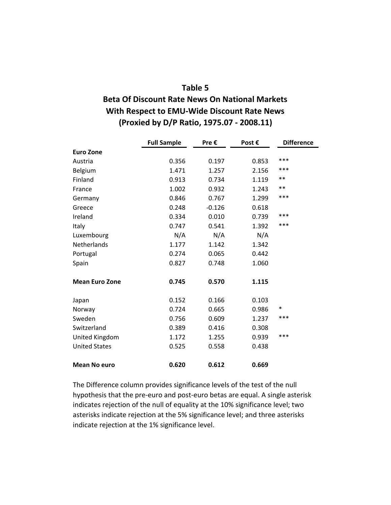#### **Table 5**

### **Beta Of Discount Rate News On National Markets With Respect to EMU‐Wide Discount Rate News (Proxied by D/P Ratio, 1975.07 ‐ 2008.11)**

|                       | <b>Full Sample</b> | Pre €    | Post € | <b>Difference</b> |
|-----------------------|--------------------|----------|--------|-------------------|
| <b>Euro Zone</b>      |                    |          |        |                   |
| Austria               | 0.356              | 0.197    | 0.853  | ***               |
| Belgium               | 1.471              | 1.257    | 2.156  | ***               |
| Finland               | 0.913              | 0.734    | 1.119  | **                |
| France                | 1.002              | 0.932    | 1.243  | **                |
| Germany               | 0.846              | 0.767    | 1.299  | ***               |
| Greece                | 0.248              | $-0.126$ | 0.618  |                   |
| Ireland               | 0.334              | 0.010    | 0.739  | ***               |
| Italy                 | 0.747              | 0.541    | 1.392  | ***               |
| Luxembourg            | N/A                | N/A      | N/A    |                   |
| Netherlands           | 1.177              | 1.142    | 1.342  |                   |
| Portugal              | 0.274              | 0.065    | 0.442  |                   |
| Spain                 | 0.827              | 0.748    | 1.060  |                   |
| <b>Mean Euro Zone</b> | 0.745              | 0.570    | 1.115  |                   |
| Japan                 | 0.152              | 0.166    | 0.103  |                   |
| Norway                | 0.724              | 0.665    | 0.986  | *                 |
| Sweden                | 0.756              | 0.609    | 1.237  | ***               |
| Switzerland           | 0.389              | 0.416    | 0.308  |                   |
| United Kingdom        | 1.172              | 1.255    | 0.939  | ***               |
| <b>United States</b>  | 0.525              | 0.558    | 0.438  |                   |
| <b>Mean No euro</b>   | 0.620              | 0.612    | 0.669  |                   |

The Difference column provides significance levels of the test of the null hypothesis that the pre‐euro and post‐euro betas are equal. A single asterisk indicates rejection of the null of equality at the 10% significance level; two asterisks indicate rejection at the 5% significance level; and three asterisks indicate rejection at the 1% significance level.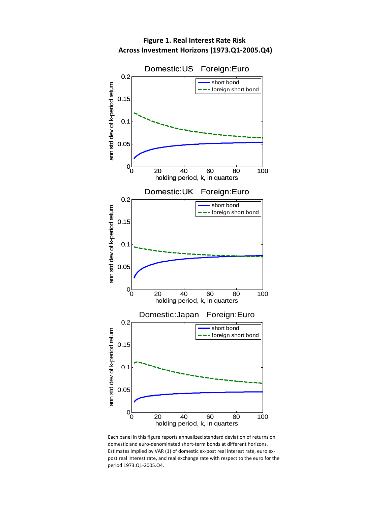

#### **Figure 1. Real Interest Rate Risk Across Investment Horizons (1973.Q1‐2005.Q4)**

Each panel in this figure reports annualized standard deviation of returns on domestic and euro‐denominated short‐term bonds at different horizons. Estimates implied by VAR (1) of domestic ex-post real interest rate, euro expost real interest rate, and real exchange rate with respect to the euro for the period 1973.Q1‐2005.Q4.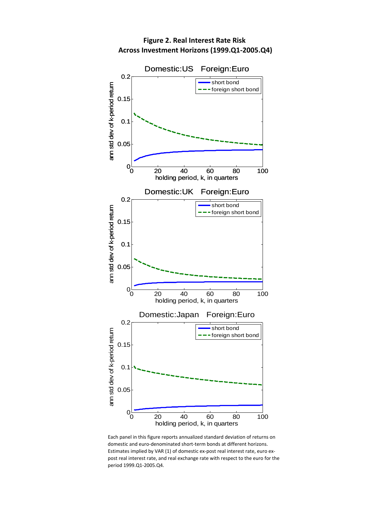

**Figure 2. Real Interest Rate Risk Across Investment Horizons (1999.Q1‐2005.Q4)**

Each panel in this figure reports annualized standard deviation of returns on domestic and euro‐denominated short‐term bonds at different horizons. Estimates implied by VAR (1) of domestic ex-post real interest rate, euro expost real interest rate, and real exchange rate with respect to the euro for the period 1999.Q1‐2005.Q4.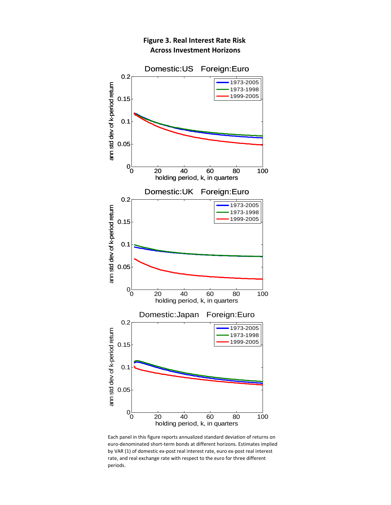

#### **Figure 3. Real Interest Rate Risk Across Investment Horizons**

Each panel in this figure reports annualized standard deviation of returns on euro‐denominated short‐term bonds at different horizons. Estimates implied by VAR (1) of domestic ex‐post real interest rate, euro ex‐post real interest rate, and real exchange rate with respect to the euro for three different periods.